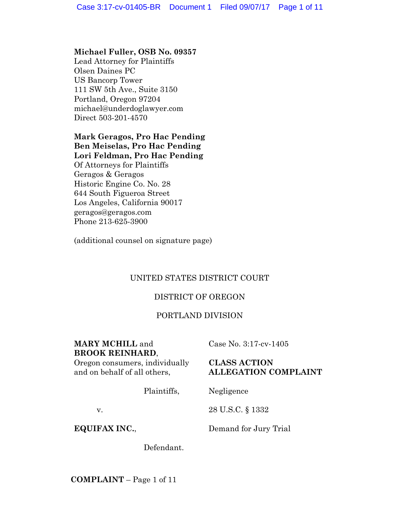## **Michael Fuller, OSB No. 09357**

Lead Attorney for Plaintiffs Olsen Daines PC US Bancorp Tower 111 SW 5th Ave., Suite 3150 Portland, Oregon 97204 michael@underdoglawyer.com Direct 503-201-4570

# **Mark Geragos, Pro Hac Pending Ben Meiselas, Pro Hac Pending Lori Feldman, Pro Hac Pending**

Of Attorneys for Plaintiffs Geragos & Geragos Historic Engine Co. No. 28 644 South Figueroa Street Los Angeles, California 90017 geragos@geragos.com Phone 213-625-3900

(additional counsel on signature page)

# UNITED STATES DISTRICT COURT

# DISTRICT OF OREGON

# PORTLAND DIVISION

# **MARY MCHILL** and **BROOK REINHARD**,

Case No. 3:17-cv-1405

# Oregon consumers, individually and on behalf of all others,

## **CLASS ACTION ALLEGATION COMPLAINT**

Plaintiffs,

**EQUIFAX INC.**,

v.

Demand for Jury Trial

Negligence

28 U.S.C. § 1332

Defendant.

**COMPLAINT** – Page 1 of 11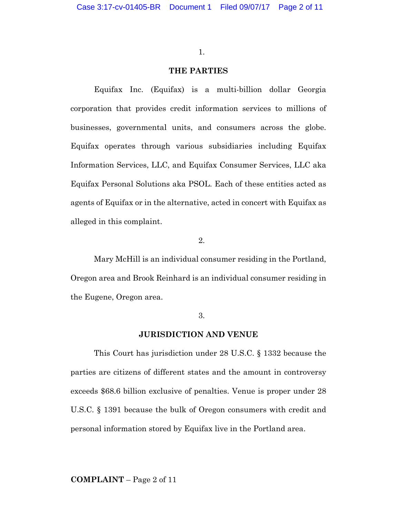#### **THE PARTIES**

Equifax Inc. (Equifax) is a multi-billion dollar Georgia corporation that provides credit information services to millions of businesses, governmental units, and consumers across the globe. Equifax operates through various subsidiaries including Equifax Information Services, LLC, and Equifax Consumer Services, LLC aka Equifax Personal Solutions aka PSOL. Each of these entities acted as agents of Equifax or in the alternative, acted in concert with Equifax as alleged in this complaint.

2.

Mary McHill is an individual consumer residing in the Portland, Oregon area and Brook Reinhard is an individual consumer residing in the Eugene, Oregon area.

#### 3.

## **JURISDICTION AND VENUE**

This Court has jurisdiction under 28 U.S.C. § 1332 because the parties are citizens of different states and the amount in controversy exceeds \$68.6 billion exclusive of penalties. Venue is proper under 28 U.S.C. § 1391 because the bulk of Oregon consumers with credit and personal information stored by Equifax live in the Portland area.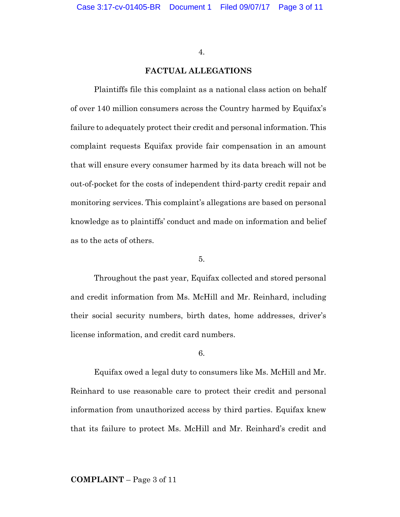#### **FACTUAL ALLEGATIONS**

Plaintiffs file this complaint as a national class action on behalf of over 140 million consumers across the Country harmed by Equifax's failure to adequately protect their credit and personal information. This complaint requests Equifax provide fair compensation in an amount that will ensure every consumer harmed by its data breach will not be out-of-pocket for the costs of independent third-party credit repair and monitoring services. This complaint's allegations are based on personal knowledge as to plaintiffs' conduct and made on information and belief as to the acts of others.

#### 5.

Throughout the past year, Equifax collected and stored personal and credit information from Ms. McHill and Mr. Reinhard, including their social security numbers, birth dates, home addresses, driver's license information, and credit card numbers.

#### 6.

Equifax owed a legal duty to consumers like Ms. McHill and Mr. Reinhard to use reasonable care to protect their credit and personal information from unauthorized access by third parties. Equifax knew that its failure to protect Ms. McHill and Mr. Reinhard's credit and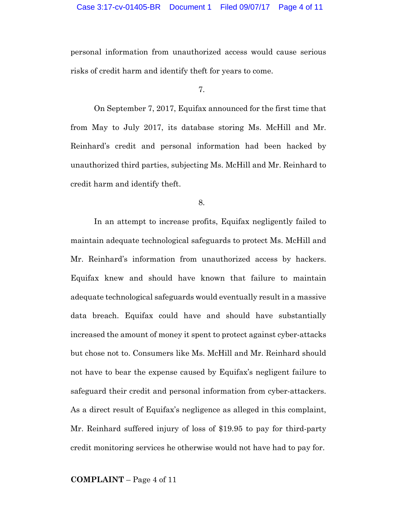personal information from unauthorized access would cause serious risks of credit harm and identify theft for years to come.

7.

On September 7, 2017, Equifax announced for the first time that from May to July 2017, its database storing Ms. McHill and Mr. Reinhard's credit and personal information had been hacked by unauthorized third parties, subjecting Ms. McHill and Mr. Reinhard to credit harm and identify theft.

8.

In an attempt to increase profits, Equifax negligently failed to maintain adequate technological safeguards to protect Ms. McHill and Mr. Reinhard's information from unauthorized access by hackers. Equifax knew and should have known that failure to maintain adequate technological safeguards would eventually result in a massive data breach. Equifax could have and should have substantially increased the amount of money it spent to protect against cyber-attacks but chose not to. Consumers like Ms. McHill and Mr. Reinhard should not have to bear the expense caused by Equifax's negligent failure to safeguard their credit and personal information from cyber-attackers. As a direct result of Equifax's negligence as alleged in this complaint, Mr. Reinhard suffered injury of loss of \$19.95 to pay for third-party credit monitoring services he otherwise would not have had to pay for.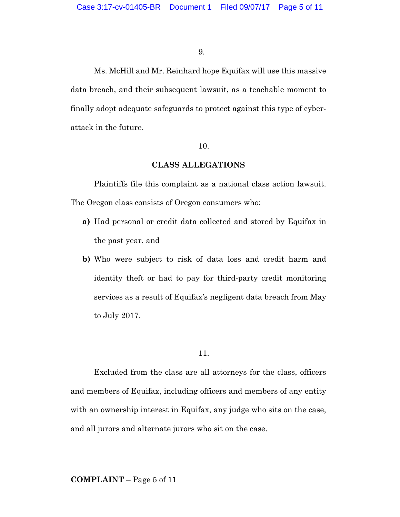Ms. McHill and Mr. Reinhard hope Equifax will use this massive data breach, and their subsequent lawsuit, as a teachable moment to finally adopt adequate safeguards to protect against this type of cyberattack in the future.

#### 10.

## **CLASS ALLEGATIONS**

Plaintiffs file this complaint as a national class action lawsuit. The Oregon class consists of Oregon consumers who:

- **a)** Had personal or credit data collected and stored by Equifax in the past year, and
- **b)** Who were subject to risk of data loss and credit harm and identity theft or had to pay for third-party credit monitoring services as a result of Equifax's negligent data breach from May to July 2017.

11.

Excluded from the class are all attorneys for the class, officers and members of Equifax, including officers and members of any entity with an ownership interest in Equifax, any judge who sits on the case, and all jurors and alternate jurors who sit on the case.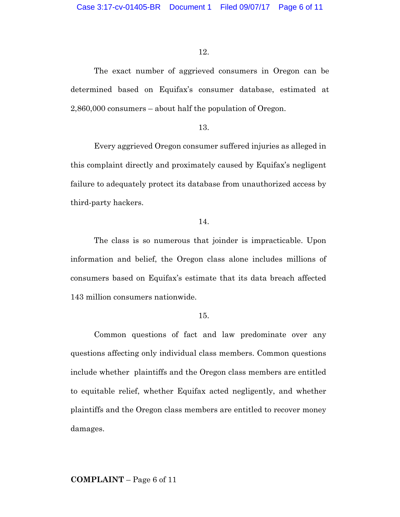The exact number of aggrieved consumers in Oregon can be determined based on Equifax's consumer database, estimated at 2,860,000 consumers – about half the population of Oregon.

#### 13.

Every aggrieved Oregon consumer suffered injuries as alleged in this complaint directly and proximately caused by Equifax's negligent failure to adequately protect its database from unauthorized access by third-party hackers.

### 14.

The class is so numerous that joinder is impracticable. Upon information and belief, the Oregon class alone includes millions of consumers based on Equifax's estimate that its data breach affected 143 million consumers nationwide.

#### 15.

Common questions of fact and law predominate over any questions affecting only individual class members. Common questions include whether plaintiffs and the Oregon class members are entitled to equitable relief, whether Equifax acted negligently, and whether plaintiffs and the Oregon class members are entitled to recover money damages.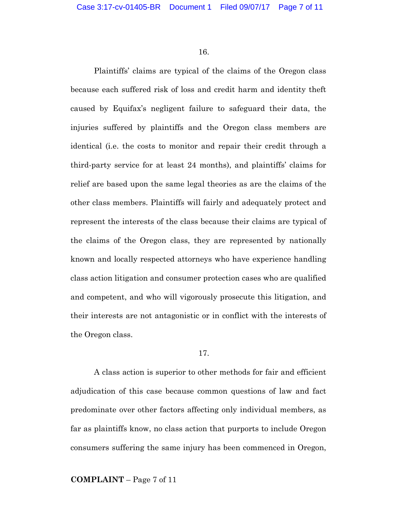Plaintiffs' claims are typical of the claims of the Oregon class because each suffered risk of loss and credit harm and identity theft caused by Equifax's negligent failure to safeguard their data, the injuries suffered by plaintiffs and the Oregon class members are identical (i.e. the costs to monitor and repair their credit through a third-party service for at least 24 months), and plaintiffs' claims for relief are based upon the same legal theories as are the claims of the other class members. Plaintiffs will fairly and adequately protect and represent the interests of the class because their claims are typical of the claims of the Oregon class, they are represented by nationally known and locally respected attorneys who have experience handling class action litigation and consumer protection cases who are qualified and competent, and who will vigorously prosecute this litigation, and their interests are not antagonistic or in conflict with the interests of the Oregon class.

#### 17.

A class action is superior to other methods for fair and efficient adjudication of this case because common questions of law and fact predominate over other factors affecting only individual members, as far as plaintiffs know, no class action that purports to include Oregon consumers suffering the same injury has been commenced in Oregon,

#### **COMPLAINT** – Page 7 of 11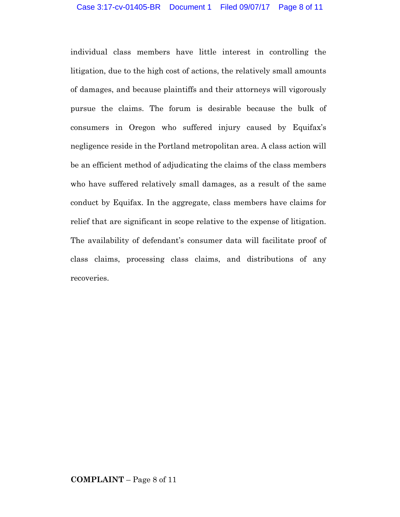individual class members have little interest in controlling the litigation, due to the high cost of actions, the relatively small amounts of damages, and because plaintiffs and their attorneys will vigorously pursue the claims. The forum is desirable because the bulk of consumers in Oregon who suffered injury caused by Equifax's negligence reside in the Portland metropolitan area. A class action will be an efficient method of adjudicating the claims of the class members who have suffered relatively small damages, as a result of the same conduct by Equifax. In the aggregate, class members have claims for relief that are significant in scope relative to the expense of litigation. The availability of defendant's consumer data will facilitate proof of class claims, processing class claims, and distributions of any recoveries.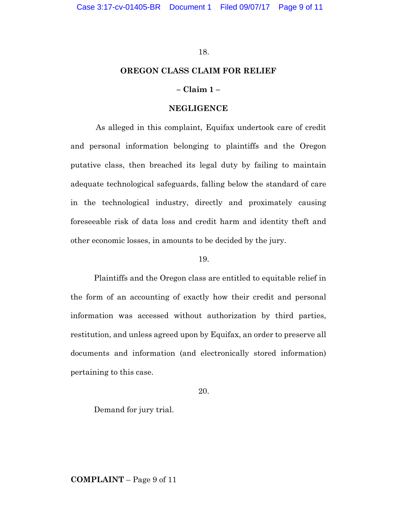#### **OREGON CLASS CLAIM FOR RELIEF**

## **– Claim 1 –**

### **NEGLIGENCE**

As alleged in this complaint, Equifax undertook care of credit and personal information belonging to plaintiffs and the Oregon putative class, then breached its legal duty by failing to maintain adequate technological safeguards, falling below the standard of care in the technological industry, directly and proximately causing foreseeable risk of data loss and credit harm and identity theft and other economic losses, in amounts to be decided by the jury.

#### 19.

Plaintiffs and the Oregon class are entitled to equitable relief in the form of an accounting of exactly how their credit and personal information was accessed without authorization by third parties, restitution, and unless agreed upon by Equifax, an order to preserve all documents and information (and electronically stored information) pertaining to this case.

20.

Demand for jury trial.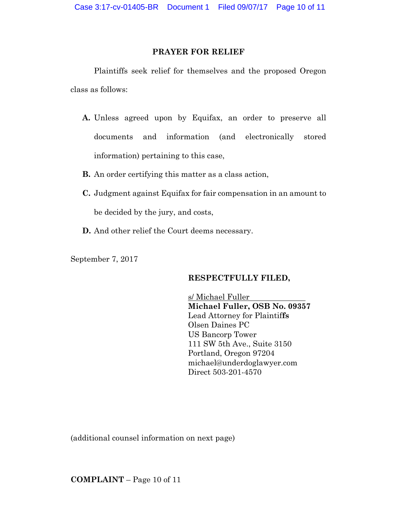## **PRAYER FOR RELIEF**

Plaintiffs seek relief for themselves and the proposed Oregon class as follows:

- **A.** Unless agreed upon by Equifax, an order to preserve all documents and information (and electronically stored information) pertaining to this case,
- **B.** An order certifying this matter as a class action,
- **C.** Judgment against Equifax for fair compensation in an amount to be decided by the jury, and costs,
- **D.** And other relief the Court deems necessary.

September 7, 2017

## **RESPECTFULLY FILED,**

s/ Michael Fuller **Michael Fuller, OSB No. 09357** Lead Attorney for Plaintif**fs** Olsen Daines PC US Bancorp Tower 111 SW 5th Ave., Suite 3150 Portland, Oregon 97204 michael@underdoglawyer.com Direct 503-201-4570

(additional counsel information on next page)